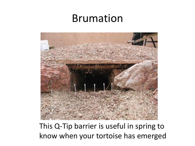#### Brumation



This Q-Tip barrier is useful in spring to know when your tortoise has emerged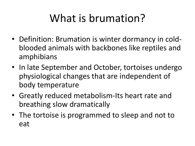## What is brumation?

- Definition: Brumation is winter dormancy in coldblooded animals with backbones like reptiles and amphibians
- In late September and October, tortoises undergo physiological changes that are independent of body temperature
- Greatly reduced metabolism-Its heart rate and breathing slow dramatically
- The tortoise is programmed to sleep and not to eat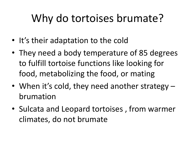## Why do tortoises brumate?

- It's their adaptation to the cold
- They need a body temperature of 85 degrees to fulfill tortoise functions like looking for food, metabolizing the food, or mating
- When it's cold, they need another strategy brumation
- Sulcata and Leopard tortoises , from warmer climates, do not brumate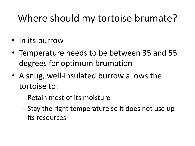#### Where should my tortoise brumate?

- In its burrow
- Temperature needs to be between 35 and 55 degrees for optimum brumation
- A snug, well-insulated burrow allows the tortoise to:
	- Retain most of its moisture
	- Stay the right temperature so it does not use up its resources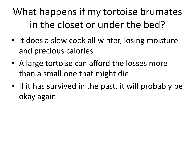#### What happens if my tortoise brumates in the closet or under the bed?

- It does a slow cook all winter, losing moisture and precious calories
- A large tortoise can afford the losses more than a small one that might die
- If it has survived in the past, it will probably be okay again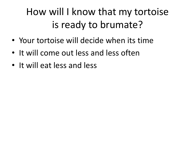#### How will I know that my tortoise is ready to brumate?

- Your tortoise will decide when its time
- It will come out less and less often
- It will eat less and less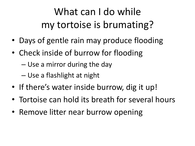#### What can I do while my tortoise is brumating?

- Days of gentle rain may produce flooding
- Check inside of burrow for flooding
	- Use a mirror during the day
	- Use a flashlight at night
- If there's water inside burrow, dig it up!
- Tortoise can hold its breath for several hours
- Remove litter near burrow opening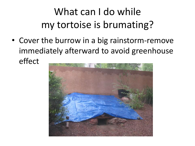### What can I do while my tortoise is brumating?

• Cover the burrow in a big rainstorm-remove immediately afterward to avoid greenhouse effect

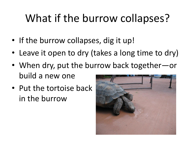## What if the burrow collapses?

- If the burrow collapses, dig it up!
- Leave it open to dry (takes a long time to dry)
- When dry, put the burrow back together—or build a new one
- Put the tortoise back in the burrow

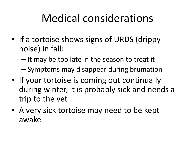### Medical considerations

- If a tortoise shows signs of URDS (drippy noise) in fall:
	- It may be too late in the season to treat it
	- Symptoms may disappear during brumation
- If your tortoise is coming out continually during winter, it is probably sick and needs a trip to the vet
- A very sick tortoise may need to be kept awake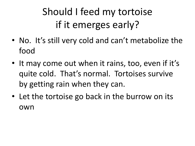### Should I feed my tortoise if it emerges early?

- No. It's still very cold and can't metabolize the food
- It may come out when it rains, too, even if it's quite cold. That's normal. Tortoises survive by getting rain when they can.
- Let the tortoise go back in the burrow on its own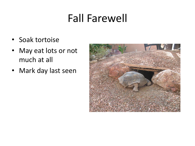### Fall Farewell

- Soak tortoise
- May eat lots or not much at all
- Mark day last seen